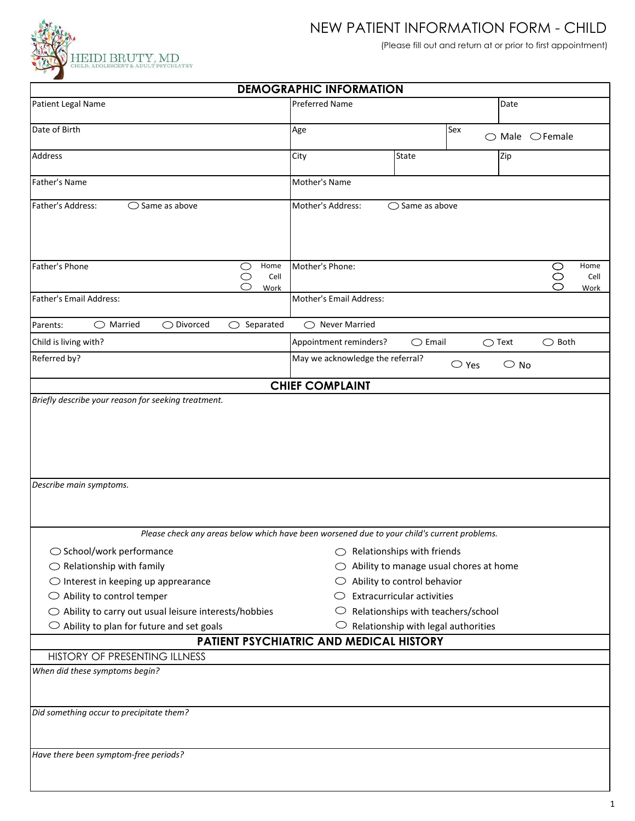

## NEW PATIENT INFORMATION FORM - CHILD

(Please fill out and return at or prior to first appointment)

| <b>DEMOGRAPHIC INFORMATION</b>                                                              |                                  |                                                         |                                                 |  |  |  |  |
|---------------------------------------------------------------------------------------------|----------------------------------|---------------------------------------------------------|-------------------------------------------------|--|--|--|--|
| Patient Legal Name                                                                          | <b>Preferred Name</b>            |                                                         | Date                                            |  |  |  |  |
| Date of Birth                                                                               | Age                              | Sex                                                     | $\bigcirc$ Male $\bigcirc$ Female               |  |  |  |  |
| Address                                                                                     | City                             | <b>State</b>                                            | Zip                                             |  |  |  |  |
| <b>Father's Name</b>                                                                        | Mother's Name                    |                                                         |                                                 |  |  |  |  |
| $\bigcirc$ Same as above<br>Father's Address:                                               | Mother's Address:                | $\bigcirc$ Same as above                                |                                                 |  |  |  |  |
| Home<br>Father's Phone<br>$\bigcirc$<br>$\bigcirc$<br>Cell<br>◯<br>Work                     | Mother's Phone:                  |                                                         | Home<br>$\circ$<br>$\circ$<br>Cell<br>◯<br>Work |  |  |  |  |
| Father's Email Address:                                                                     | Mother's Email Address:          |                                                         |                                                 |  |  |  |  |
| $\bigcirc$ Married<br>$\bigcirc$ Divorced<br>Separated<br>◯<br>Parents:                     | $\bigcirc$ Never Married         |                                                         |                                                 |  |  |  |  |
| Child is living with?                                                                       | Appointment reminders?           | $\bigcirc$ Email                                        | $\bigcirc$ Both<br>$\bigcirc$ Text              |  |  |  |  |
| Referred by?                                                                                | May we acknowledge the referral? | $\bigcirc$ Yes                                          | $\circ$ No                                      |  |  |  |  |
|                                                                                             | <b>CHIEF COMPLAINT</b>           |                                                         |                                                 |  |  |  |  |
| Describe main symptoms.                                                                     |                                  |                                                         |                                                 |  |  |  |  |
| Please check any areas below which have been worsened due to your child's current problems. |                                  |                                                         |                                                 |  |  |  |  |
| ○ School/work performance                                                                   |                                  | $\bigcirc$ Relationships with friends                   |                                                 |  |  |  |  |
| $\bigcirc$ Relationship with family                                                         |                                  | Ability to manage usual chores at home                  |                                                 |  |  |  |  |
| $\bigcirc$ Interest in keeping up apprearance                                               |                                  | Ability to control behavior                             |                                                 |  |  |  |  |
| $\bigcirc$ Ability to control temper                                                        |                                  | <b>Extracurricular activities</b>                       |                                                 |  |  |  |  |
| $\bigcirc$ Ability to carry out usual leisure interests/hobbies                             | $\cup$                           | Relationships with teachers/school                      |                                                 |  |  |  |  |
| $\circlearrowright$ Ability to plan for future and set goals                                |                                  | $\circlearrowright$ Relationship with legal authorities |                                                 |  |  |  |  |
| PATIENT PSYCHIATRIC AND MEDICAL HISTORY<br>HISTORY OF PRESENTING ILLNESS                    |                                  |                                                         |                                                 |  |  |  |  |
| When did these symptoms begin?<br>Did something occur to precipitate them?                  |                                  |                                                         |                                                 |  |  |  |  |
| Have there been symptom-free periods?                                                       |                                  |                                                         |                                                 |  |  |  |  |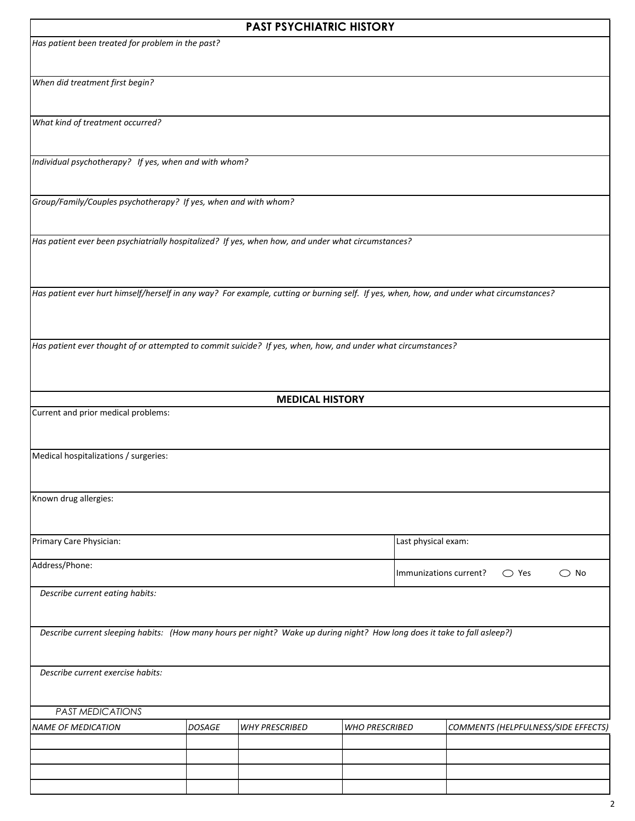|                                                                                                                                          |               | <b>PAST PSYCHIATRIC HISTORY</b> |                       |                                                           |                                     |  |  |
|------------------------------------------------------------------------------------------------------------------------------------------|---------------|---------------------------------|-----------------------|-----------------------------------------------------------|-------------------------------------|--|--|
| Has patient been treated for problem in the past?                                                                                        |               |                                 |                       |                                                           |                                     |  |  |
| When did treatment first begin?                                                                                                          |               |                                 |                       |                                                           |                                     |  |  |
| What kind of treatment occurred?                                                                                                         |               |                                 |                       |                                                           |                                     |  |  |
| Individual psychotherapy? If yes, when and with whom?                                                                                    |               |                                 |                       |                                                           |                                     |  |  |
| Group/Family/Couples psychotherapy? If yes, when and with whom?                                                                          |               |                                 |                       |                                                           |                                     |  |  |
| Has patient ever been psychiatrially hospitalized? If yes, when how, and under what circumstances?                                       |               |                                 |                       |                                                           |                                     |  |  |
| Has patient ever hurt himself/herself in any way? For example, cutting or burning self. If yes, when, how, and under what circumstances? |               |                                 |                       |                                                           |                                     |  |  |
| Has patient ever thought of or attempted to commit suicide? If yes, when, how, and under what circumstances?                             |               |                                 |                       |                                                           |                                     |  |  |
|                                                                                                                                          |               | <b>MEDICAL HISTORY</b>          |                       |                                                           |                                     |  |  |
| Current and prior medical problems:                                                                                                      |               |                                 |                       |                                                           |                                     |  |  |
| Medical hospitalizations / surgeries:                                                                                                    |               |                                 |                       |                                                           |                                     |  |  |
| Known drug allergies:                                                                                                                    |               |                                 |                       |                                                           |                                     |  |  |
| Primary Care Physician:                                                                                                                  |               |                                 |                       |                                                           | Last physical exam:                 |  |  |
| Address/Phone:                                                                                                                           |               |                                 |                       | $\bigcirc$ Yes<br>$\bigcirc$ No<br>Immunizations current? |                                     |  |  |
| Describe current eating habits:                                                                                                          |               |                                 |                       |                                                           |                                     |  |  |
| Describe current sleeping habits: (How many hours per night? Wake up during night? How long does it take to fall asleep?)                |               |                                 |                       |                                                           |                                     |  |  |
| Describe current exercise habits:                                                                                                        |               |                                 |                       |                                                           |                                     |  |  |
| <b>PAST MEDICATIONS</b>                                                                                                                  |               |                                 |                       |                                                           |                                     |  |  |
| <b>NAME OF MEDICATION</b>                                                                                                                | <b>DOSAGE</b> | <b>WHY PRESCRIBED</b>           | <b>WHO PRESCRIBED</b> |                                                           | COMMENTS (HELPFULNESS/SIDE EFFECTS) |  |  |
|                                                                                                                                          |               |                                 |                       |                                                           |                                     |  |  |
|                                                                                                                                          |               |                                 |                       |                                                           |                                     |  |  |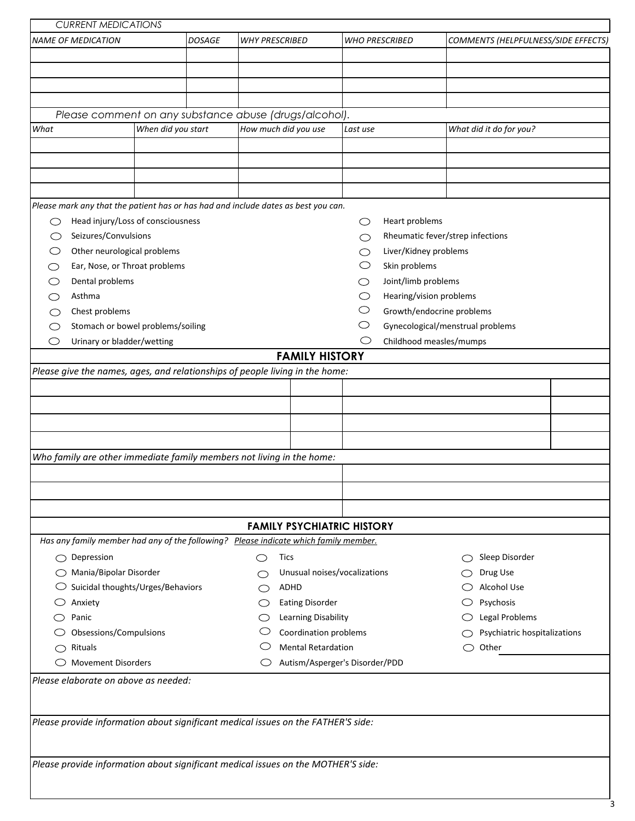| <b>NAME OF MEDICATION</b><br>Please comment on any substance abuse (drugs/alcohol).                                                                                                     |                    | <b>DOSAGE</b> | <b>WHY PRESCRIBED</b> |                        |                           |                                   | <b>WHO PRESCRIBED</b>            |    |                         | COMMENTS (HELPFULNESS/SIDE EFFECTS) |
|-----------------------------------------------------------------------------------------------------------------------------------------------------------------------------------------|--------------------|---------------|-----------------------|------------------------|---------------------------|-----------------------------------|----------------------------------|----|-------------------------|-------------------------------------|
|                                                                                                                                                                                         |                    |               |                       |                        |                           |                                   |                                  |    |                         |                                     |
|                                                                                                                                                                                         |                    |               |                       |                        |                           |                                   |                                  |    |                         |                                     |
|                                                                                                                                                                                         |                    |               |                       |                        |                           |                                   |                                  |    |                         |                                     |
|                                                                                                                                                                                         |                    |               |                       |                        |                           |                                   |                                  |    |                         |                                     |
|                                                                                                                                                                                         |                    |               |                       |                        |                           |                                   |                                  |    |                         |                                     |
|                                                                                                                                                                                         |                    |               |                       |                        |                           |                                   |                                  |    |                         |                                     |
| What                                                                                                                                                                                    | When did you start |               | How much did you use  |                        |                           | Last use                          |                                  |    | What did it do for you? |                                     |
|                                                                                                                                                                                         |                    |               |                       |                        |                           |                                   |                                  |    |                         |                                     |
|                                                                                                                                                                                         |                    |               |                       |                        |                           |                                   |                                  |    |                         |                                     |
|                                                                                                                                                                                         |                    |               |                       |                        |                           |                                   |                                  |    |                         |                                     |
|                                                                                                                                                                                         |                    |               |                       |                        |                           |                                   |                                  |    |                         |                                     |
| Please mark any that the patient has or has had and include dates as best you can.                                                                                                      |                    |               |                       |                        |                           |                                   |                                  |    |                         |                                     |
| Head injury/Loss of consciousness<br>◯                                                                                                                                                  |                    |               |                       |                        |                           | ◯                                 | Heart problems                   |    |                         |                                     |
| Seizures/Convulsions<br>O                                                                                                                                                               |                    |               |                       |                        |                           |                                   | Rheumatic fever/strep infections |    |                         |                                     |
| Other neurological problems                                                                                                                                                             |                    |               |                       |                        |                           |                                   | Liver/Kidney problems            |    |                         |                                     |
| Ear, Nose, or Throat problems                                                                                                                                                           |                    |               |                       |                        |                           |                                   | Skin problems                    |    |                         |                                     |
| Dental problems                                                                                                                                                                         |                    |               |                       |                        |                           |                                   | Joint/limb problems              |    |                         |                                     |
| Asthma                                                                                                                                                                                  |                    |               |                       |                        |                           |                                   | Hearing/vision problems          |    |                         |                                     |
| Chest problems                                                                                                                                                                          |                    |               |                       |                        |                           |                                   | Growth/endocrine problems        |    |                         |                                     |
| Stomach or bowel problems/soiling                                                                                                                                                       |                    |               |                       |                        |                           |                                   | Gynecological/menstrual problems |    |                         |                                     |
| Urinary or bladder/wetting<br>O                                                                                                                                                         |                    |               |                       |                        |                           | O                                 | Childhood measles/mumps          |    |                         |                                     |
|                                                                                                                                                                                         |                    |               |                       |                        |                           |                                   |                                  |    |                         |                                     |
|                                                                                                                                                                                         |                    |               |                       | <b>FAMILY HISTORY</b>  |                           |                                   |                                  |    |                         |                                     |
|                                                                                                                                                                                         |                    |               |                       |                        |                           |                                   |                                  |    |                         |                                     |
|                                                                                                                                                                                         |                    |               |                       |                        |                           |                                   |                                  |    |                         |                                     |
|                                                                                                                                                                                         |                    |               |                       |                        |                           |                                   |                                  |    |                         |                                     |
|                                                                                                                                                                                         |                    |               |                       |                        |                           |                                   |                                  |    |                         |                                     |
| Please give the names, ages, and relationships of people living in the home:                                                                                                            |                    |               |                       |                        |                           |                                   |                                  |    |                         |                                     |
|                                                                                                                                                                                         |                    |               |                       |                        |                           |                                   |                                  |    |                         |                                     |
|                                                                                                                                                                                         |                    |               |                       |                        |                           |                                   |                                  |    |                         |                                     |
|                                                                                                                                                                                         |                    |               |                       |                        |                           |                                   |                                  |    |                         |                                     |
|                                                                                                                                                                                         |                    |               |                       |                        |                           |                                   |                                  |    |                         |                                     |
|                                                                                                                                                                                         |                    |               |                       |                        |                           |                                   |                                  |    |                         |                                     |
|                                                                                                                                                                                         |                    |               |                       |                        |                           | <b>FAMILY PSYCHIATRIC HISTORY</b> |                                  |    |                         |                                     |
|                                                                                                                                                                                         |                    |               |                       |                        |                           |                                   |                                  |    |                         |                                     |
| $\bigcirc$ Depression                                                                                                                                                                   |                    |               | ◯                     | Tics                   |                           |                                   |                                  |    | ◯ Sleep Disorder        |                                     |
| ◯ Mania/Bipolar Disorder                                                                                                                                                                |                    |               |                       |                        |                           | Unusual noises/vocalizations      |                                  |    | Drug Use                |                                     |
| $\circlearrowright$ Suicidal thoughts/Urges/Behaviors                                                                                                                                   |                    |               |                       | ADHD                   |                           |                                   |                                  |    | Alcohol Use             |                                     |
| Anxiety                                                                                                                                                                                 |                    |               |                       | <b>Eating Disorder</b> |                           |                                   |                                  |    | Psychosis               |                                     |
| Panic                                                                                                                                                                                   |                    |               |                       |                        | Learning Disability       |                                   |                                  |    | <b>Legal Problems</b>   |                                     |
| Who family are other immediate family members not living in the home:<br>Has any family member had any of the following? Please indicate which family member.<br>Obsessions/Compulsions |                    |               |                       |                        | Coordination problems     |                                   |                                  |    |                         | Psychiatric hospitalizations        |
| $\bigcirc$ Rituals                                                                                                                                                                      |                    |               |                       |                        | <b>Mental Retardation</b> |                                   |                                  | C) | Other                   |                                     |
| <b>Movement Disorders</b>                                                                                                                                                               |                    |               |                       |                        |                           | Autism/Asperger's Disorder/PDD    |                                  |    |                         |                                     |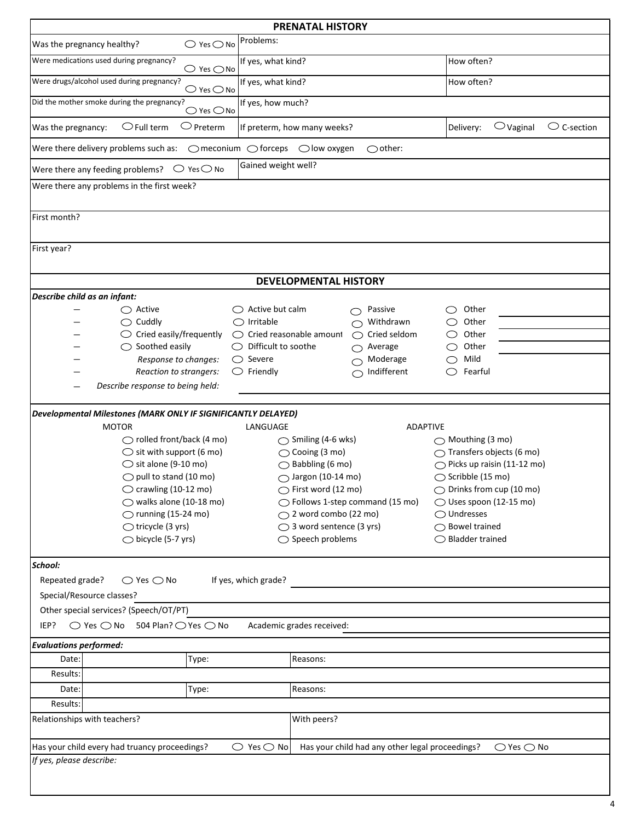| <b>PRENATAL HISTORY</b>                                                                                                                                          |                                                                 |                                       |  |  |  |  |  |
|------------------------------------------------------------------------------------------------------------------------------------------------------------------|-----------------------------------------------------------------|---------------------------------------|--|--|--|--|--|
| $\bigcirc$ Yes $\bigcirc$ No<br>Was the pregnancy healthy?                                                                                                       | Problems:                                                       |                                       |  |  |  |  |  |
| Were medications used during pregnancy?<br>$\bigcirc$ Yes $\bigcirc$ No                                                                                          | If yes, what kind?                                              | How often?                            |  |  |  |  |  |
| Were drugs/alcohol used during pregnancy?                                                                                                                        | If yes, what kind?<br>$\bigcirc$ Yes $\bigcirc$ No              |                                       |  |  |  |  |  |
| Did the mother smoke during the pregnancy?<br>$\bigcirc$ Yes $\bigcirc$ No                                                                                       | If yes, how much?                                               |                                       |  |  |  |  |  |
| $\bigcirc$ Preterm<br>$\bigcirc$ Full term<br>Was the pregnancy:                                                                                                 | $\bigcirc$ Vaginal<br>$\circ$ C-section<br>Delivery:            |                                       |  |  |  |  |  |
| If preterm, how many weeks?<br>Were there delivery problems such as:<br>$\bigcirc$ meconium $\bigcirc$ forceps $\bigcirc$ low oxygen<br>$\bigcirc$ other:        |                                                                 |                                       |  |  |  |  |  |
| Gained weight well?<br>Were there any feeding problems? $\bigcirc$ Yes $\bigcirc$ No                                                                             |                                                                 |                                       |  |  |  |  |  |
| Were there any problems in the first week?                                                                                                                       |                                                                 |                                       |  |  |  |  |  |
| First month?                                                                                                                                                     |                                                                 |                                       |  |  |  |  |  |
| First year?                                                                                                                                                      |                                                                 |                                       |  |  |  |  |  |
|                                                                                                                                                                  |                                                                 |                                       |  |  |  |  |  |
|                                                                                                                                                                  | <b>DEVELOPMENTAL HISTORY</b>                                    |                                       |  |  |  |  |  |
| Describe child as an infant:                                                                                                                                     |                                                                 |                                       |  |  |  |  |  |
| $\bigcirc$ Active                                                                                                                                                | $\bigcirc$ Active but calm<br>Passive<br>⌒                      | Other<br>( )                          |  |  |  |  |  |
| $\bigcirc$ Cuddly                                                                                                                                                | $\bigcirc$ Irritable<br>Withdrawn<br>⌒                          | Other                                 |  |  |  |  |  |
| $\circlearrowright$ Cried easily/frequently                                                                                                                      | $\bigcirc$ Cried reasonable amount<br>Cried seldom<br>$\bigcap$ | Other<br>C)                           |  |  |  |  |  |
| $\bigcirc$ Soothed easily                                                                                                                                        | $\bigcirc$ Difficult to soothe<br>Average<br>⌒                  | Other                                 |  |  |  |  |  |
| Response to changes:                                                                                                                                             | $\bigcirc$ Severe<br>Moderage<br>$\bigcirc$                     | Mild                                  |  |  |  |  |  |
| Reaction to strangers:                                                                                                                                           | Indifferent<br>$\circlearrowright$ Friendly<br>$\bigcirc$       | ◯<br>Fearful                          |  |  |  |  |  |
| Describe response to being held:                                                                                                                                 |                                                                 |                                       |  |  |  |  |  |
| <b>Developmental Milestones (MARK ONLY IF SIGNIFICANTLY DELAYED)</b>                                                                                             |                                                                 |                                       |  |  |  |  |  |
| <b>MOTOR</b>                                                                                                                                                     | LANGUAGE<br><b>ADAPTIVE</b>                                     |                                       |  |  |  |  |  |
| $\bigcirc$ rolled front/back (4 mo)                                                                                                                              | $\bigcirc$ Smiling (4-6 wks)                                    | $\bigcirc$ Mouthing (3 mo)            |  |  |  |  |  |
| $\bigcirc$ sit with support (6 mo)                                                                                                                               | $\bigcirc$ Cooing (3 mo)                                        | $\bigcirc$ Transfers objects (6 mo)   |  |  |  |  |  |
| $\bigcirc$ sit alone (9-10 mo)                                                                                                                                   | $\bigcirc$ Babbling (6 mo)                                      | $\bigcirc$ Picks up raisin (11-12 mo) |  |  |  |  |  |
| $\bigcirc$ pull to stand (10 mo)                                                                                                                                 | $\bigcirc$ Jargon (10-14 mo)                                    | ◯ Scribble (15 mo)                    |  |  |  |  |  |
| $\bigcirc$ crawling (10-12 mo)                                                                                                                                   | $\bigcirc$ First word (12 mo)                                   | ◯ Drinks from cup (10 mo)             |  |  |  |  |  |
| $\bigcirc$ walks alone (10-18 mo)                                                                                                                                | ◯ Follows 1-step command (15 mo)                                | $\bigcirc$ Uses spoon (12-15 mo)      |  |  |  |  |  |
| $\bigcirc$ running (15-24 mo)                                                                                                                                    | $\bigcirc$ 2 word combo (22 mo)                                 | $\bigcirc$ Undresses                  |  |  |  |  |  |
| $\bigcirc$ tricycle (3 yrs)                                                                                                                                      | ◯ 3 word sentence (3 yrs)                                       | $\bigcirc$ Bowel trained              |  |  |  |  |  |
| $\bigcirc$ bicycle (5-7 yrs)                                                                                                                                     | $\bigcirc$ Speech problems                                      | $\bigcirc$ Bladder trained            |  |  |  |  |  |
| School:                                                                                                                                                          |                                                                 |                                       |  |  |  |  |  |
| Repeated grade?<br>$\bigcirc$ Yes $\bigcirc$ No                                                                                                                  | If yes, which grade?                                            |                                       |  |  |  |  |  |
| Special/Resource classes?                                                                                                                                        |                                                                 |                                       |  |  |  |  |  |
| Other special services? (Speech/OT/PT)                                                                                                                           |                                                                 |                                       |  |  |  |  |  |
| $\bigcirc$ Yes $\bigcirc$ No 504 Plan? $\bigcirc$ Yes $\bigcirc$ No<br>IEP?                                                                                      | Academic grades received:                                       |                                       |  |  |  |  |  |
| <b>Evaluations performed:</b>                                                                                                                                    |                                                                 |                                       |  |  |  |  |  |
| Type:<br>Date:                                                                                                                                                   | Reasons:                                                        |                                       |  |  |  |  |  |
| Results:                                                                                                                                                         |                                                                 |                                       |  |  |  |  |  |
| Type:<br>Date:                                                                                                                                                   | Reasons:                                                        |                                       |  |  |  |  |  |
| Results:                                                                                                                                                         |                                                                 |                                       |  |  |  |  |  |
| Relationships with teachers?<br>With peers?                                                                                                                      |                                                                 |                                       |  |  |  |  |  |
| Has your child every had truancy proceedings?<br>$\bigcirc$ Yes $\bigcirc$ No<br>Has your child had any other legal proceedings?<br>$\bigcirc$ Yes $\bigcirc$ No |                                                                 |                                       |  |  |  |  |  |
| If yes, please describe:                                                                                                                                         |                                                                 |                                       |  |  |  |  |  |
|                                                                                                                                                                  |                                                                 |                                       |  |  |  |  |  |